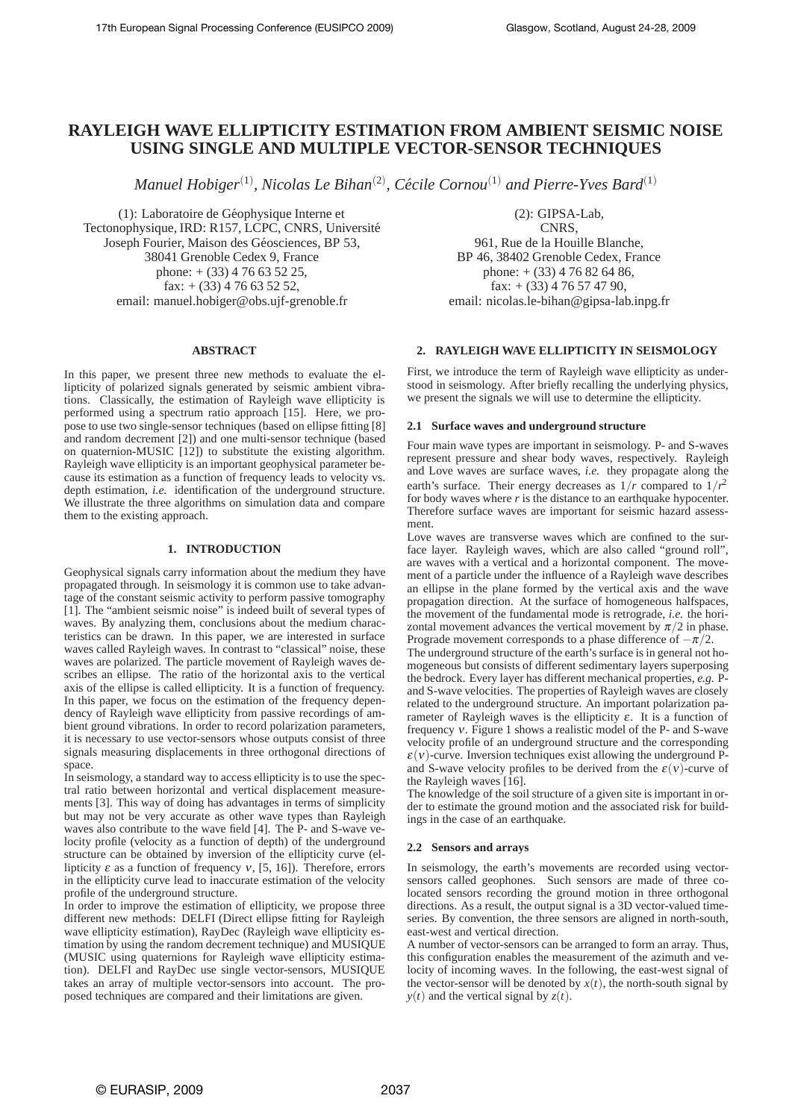# **RAYLEIGH WAVE ELLIPTICITY ESTIMATION FROM AMBIENT SEISMIC NOISE USING SINGLE AND MULTIPLE VECTOR-SENSOR TECHNIQUES**

*Manuel Hobiger*(1) *, Nicolas Le Bihan*(2) *, Cecile Cornou ´* (1) *and Pierre-Yves Bard*(1)

(1): Laboratoire de Géophysique Interne et Tectonophysique, IRD: R157, LCPC, CNRS, Université Joseph Fourier, Maison des Géosciences, BP 53, 38041 Grenoble Cedex 9, France phone:  $+(33)$  4 76 63 52 25, fax:  $+$  (33) 4 76 63 52 52, email: manuel.hobiger@obs.ujf-grenoble.fr

# **ABSTRACT**

In this paper, we present three new methods to evaluate the ellipticity of polarized signals generated by seismic ambient vibrations. Classically, the estimation of Rayleigh wave ellipticity is performed using a spectrum ratio approach [15]. Here, we propose to use two single-sensor techniques (based on ellipse fitting [8] and random decrement [2]) and one multi-sensor technique (based on quaternion-MUSIC [12]) to substitute the existing algorithm. Rayleigh wave ellipticity is an important geophysical parameter because its estimation as a function of frequency leads to velocity vs. depth estimation, *i.e.* identification of the underground structure. We illustrate the three algorithms on simulation data and compare them to the existing approach.

# **1. INTRODUCTION**

Geophysical signals carry information about the medium they have propagated through. In seismology it is common use to take advantage of the constant seismic activity to perform passive tomography [1]. The "ambient seismic noise" is indeed built of several types of waves. By analyzing them, conclusions about the medium characteristics can be drawn. In this paper, we are interested in surface waves called Rayleigh waves. In contrast to "classical" noise, these waves are polarized. The particle movement of Rayleigh waves describes an ellipse. The ratio of the horizontal axis to the vertical axis of the ellipse is called ellipticity. It is a function of frequency. In this paper, we focus on the estimation of the frequency dependency of Rayleigh wave ellipticity from passive recordings of ambient ground vibrations. In order to record polarization parameters, it is necessary to use vector-sensors whose outputs consist of three signals measuring displacements in three orthogonal directions of space.

In seismology, a standard way to access ellipticity is to use the spectral ratio between horizontal and vertical displacement measurements [3]. This way of doing has advantages in terms of simplicity but may not be very accurate as other wave types than Rayleigh waves also contribute to the wave field [4]. The P- and S-wave velocity profile (velocity as a function of depth) of the underground structure can be obtained by inversion of the ellipticity curve (ellipticity  $\varepsilon$  as a function of frequency  $v$ , [5, 16]). Therefore, errors in the ellipticity curve lead to inaccurate estimation of the velocity profile of the underground structure.

In order to improve the estimation of ellipticity, we propose three different new methods: DELFI (Direct ellipse fitting for Rayleigh wave ellipticity estimation), RayDec (Rayleigh wave ellipticity estimation by using the random decrement technique) and MUSIQUE (MUSIC using quaternions for Rayleigh wave ellipticity estimation). DELFI and RayDec use single vector-sensors, MUSIQUE takes an array of multiple vector-sensors into account. The proposed techniques are compared and their limitations are given.

(2): GIPSA-Lab, CNRS,

961, Rue de la Houille Blanche, BP 46, 38402 Grenoble Cedex, France phone:  $+(33)$  4 76 82 64 86, fax:  $+$  (33) 4 76 57 47 90, email: nicolas.le-bihan@gipsa-lab.inpg.fr

# **2. RAYLEIGH WAVE ELLIPTICITY IN SEISMOLOGY**

First, we introduce the term of Rayleigh wave ellipticity as understood in seismology. After briefly recalling the underlying physics, we present the signals we will use to determine the ellipticity.

# **2.1 Surface waves and underground structure**

Four main wave types are important in seismology. P- and S-waves represent pressure and shear body waves, respectively. Rayleigh and Love waves are surface waves, *i.e.* they propagate along the earth's surface. Their energy decreases as  $1/r$  compared to  $1/r^2$ for body waves where *r* is the distance to an earthquake hypocenter. Therefore surface waves are important for seismic hazard assessment.

Love waves are transverse waves which are confined to the surface layer. Rayleigh waves, which are also called "ground roll", are waves with a vertical and a horizontal component. The movement of a particle under the influence of a Rayleigh wave describes an ellipse in the plane formed by the vertical axis and the wave propagation direction. At the surface of homogeneous halfspaces, the movement of the fundamental mode is retrograde, *i.e.* the horizontal movement advances the vertical movement by  $\pi/2$  in phase. Prograde movement corresponds to a phase difference of  $-\pi/2$ .

The underground structure of the earth's surface is in general not homogeneous but consists of different sedimentary layers superposing the bedrock. Every layer has different mechanical properties, *e.g.* Pand S-wave velocities. The properties of Rayleigh waves are closely related to the underground structure. An important polarization parameter of Rayleigh waves is the ellipticity  $\varepsilon$ . It is a function of frequency <sup>ν</sup>. Figure 1 shows a realistic model of the P- and S-wave velocity profile of an underground structure and the corresponding  $\varepsilon(v)$ -curve. Inversion techniques exist allowing the underground Pand S-wave velocity profiles to be derived from the  $\varepsilon(v)$ -curve of the Rayleigh waves [16].

The knowledge of the soil structure of a given site is important in order to estimate the ground motion and the associated risk for buildings in the case of an earthquake.

# **2.2 Sensors and arrays**

In seismology, the earth's movements are recorded using vectorsensors called geophones. Such sensors are made of three colocated sensors recording the ground motion in three orthogonal directions. As a result, the output signal is a 3D vector-valued timeseries. By convention, the three sensors are aligned in north-south, east-west and vertical direction.

A number of vector-sensors can be arranged to form an array. Thus, this configuration enables the measurement of the azimuth and velocity of incoming waves. In the following, the east-west signal of the vector-sensor will be denoted by  $x(t)$ , the north-south signal by  $y(t)$  and the vertical signal by  $z(t)$ .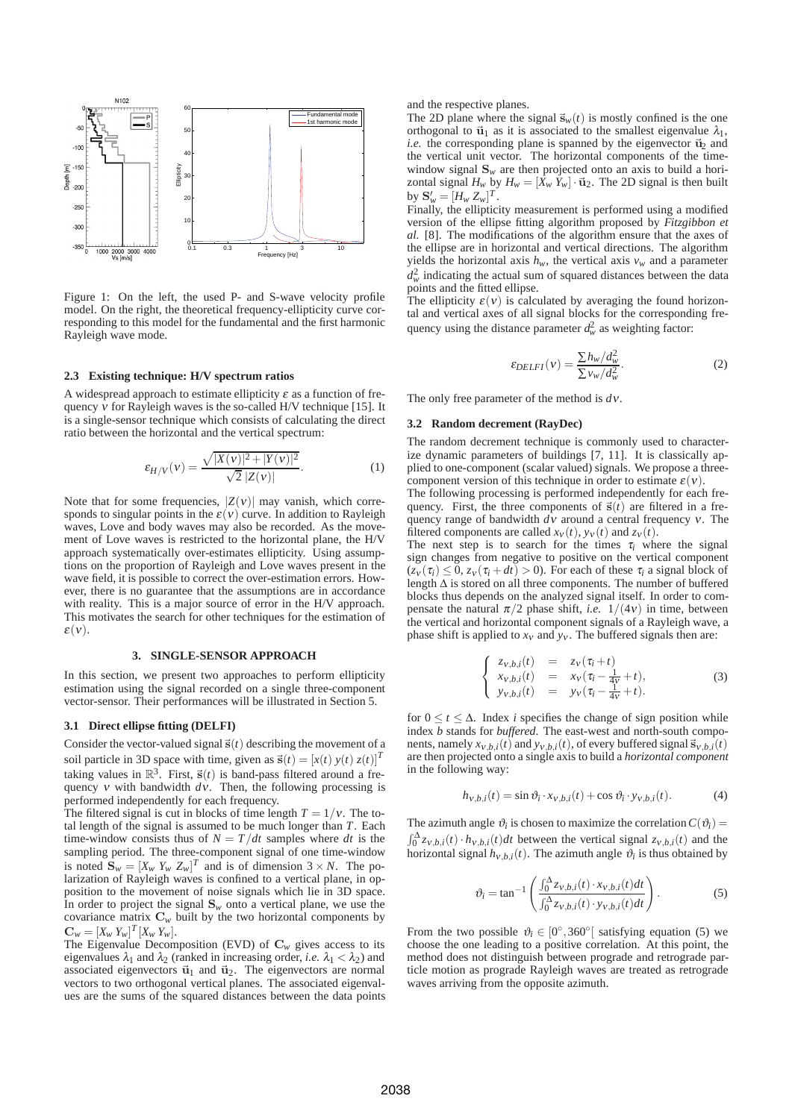

Figure 1: On the left, the used P- and S-wave velocity profile model. On the right, the theoretical frequency-ellipticity curve corresponding to this model for the fundamental and the first harmonic Rayleigh wave mode.

### **2.3 Existing technique: H/V spectrum ratios**

A widespread approach to estimate ellipticity  $\varepsilon$  as a function of frequency <sup>ν</sup> for Rayleigh waves is the so-called H/V technique [15]. It is a single-sensor technique which consists of calculating the direct ratio between the horizontal and the vertical spectrum:

$$
\varepsilon_{H/V}(v) = \frac{\sqrt{|X(v)|^2 + |Y(v)|^2}}{\sqrt{2}|Z(v)|}.
$$
 (1)

Note that for some frequencies,  $|Z(v)|$  may vanish, which corresponds to singular points in the  $\varepsilon(v)$  curve. In addition to Rayleigh waves, Love and body waves may also be recorded. As the movement of Love waves is restricted to the horizontal plane, the H/V approach systematically over-estimates ellipticity. Using assumptions on the proportion of Rayleigh and Love waves present in the wave field, it is possible to correct the over-estimation errors. However, there is no guarantee that the assumptions are in accordance with reality. This is a major source of error in the H/V approach. This motivates the search for other techniques for the estimation of  $\varepsilon(v)$ .

#### **3. SINGLE-SENSOR APPROACH**

In this section, we present two approaches to perform ellipticity estimation using the signal recorded on a single three-component vector-sensor. Their performances will be illustrated in Section 5.

### **3.1 Direct ellipse fitting (DELFI)**

Consider the vector-valued signal  $\vec{s}(t)$  describing the movement of a soil particle in 3D space with time, given as  $\vec{s}(t) = [x(t) y(t) z(t)]^T$ taking values in  $\mathbb{R}^3$ . First,  $\vec{s}(t)$  is band-pass filtered around a frequency *v* with bandwidth  $d\vec{v}$ . Then, the following processing is performed independently for each frequency.

The filtered signal is cut in blocks of time length  $T = 1/v$ . The total length of the signal is assumed to be much longer than *T*. Each time-window consists thus of  $N = T/dt$  samples where *dt* is the sampling period. The three-component signal of one time-window is noted  $\mathbf{S}_w = [X_w \ Y_w \ Z_w]^T$  and is of dimension  $3 \times N$ . The polarization of Rayleigh waves is confined to a vertical plane, in opposition to the movement of noise signals which lie in 3D space. In order to project the signal  $S_w$  onto a vertical plane, we use the covariance matrix  $C_w$  built by the two horizontal components by  $\mathbf{C}_w = [X_w \ Y_w]^T [X_w \ Y_w].$ 

The Eigenvalue Decomposition (EVD) of  $C_w$  gives access to its eigenvalues  $\lambda_1$  and  $\lambda_2$  (ranked in increasing order, *i.e.*  $\lambda_1 < \lambda_2$ ) and associated eigenvectors  $\vec{u}_1$  and  $\vec{u}_2$ . The eigenvectors are normal vectors to two orthogonal vertical planes. The associated eigenvalues are the sums of the squared distances between the data points and the respective planes.

The 2D plane where the signal  $\vec{s}_w(t)$  is mostly confined is the one orthogonal to  $\vec{u}_1$  as it is associated to the smallest eigenvalue  $\lambda_1$ ,  $i.e.$  the corresponding plane is spanned by the eigenvector  $\vec{u}_2$  and the vertical unit vector. The horizontal components of the timewindow signal  $S_w$  are then projected onto an axis to build a horizontal signal  $H_w$  by  $H_w = [X_w Y_w] \cdot \vec{u}_2$ . The 2D signal is then built by  $S'_w = [H_w Z_w]^T$ .

Finally, the ellipticity measurement is performed using a modified version of the ellipse fitting algorithm proposed by *Fitzgibbon et al.* [8]. The modifications of the algorithm ensure that the axes of the ellipse are in horizontal and vertical directions. The algorithm yields the horizontal axis  $h_w$ , the vertical axis  $v_w$  and a parameter  $d_w^2$  indicating the actual sum of squared distances between the data points and the fitted ellipse.

The ellipticity  $\varepsilon(v)$  is calculated by averaging the found horizontal and vertical axes of all signal blocks for the corresponding frequency using the distance parameter  $d_w^2$  as weighting factor:

$$
\varepsilon_{DELFI}(v) = \frac{\sum h_w / d_w^2}{\sum v_w / d_w^2}.
$$
 (2)

The only free parameter of the method is *d*ν.

#### **3.2 Random decrement (RayDec)**

The random decrement technique is commonly used to characterize dynamic parameters of buildings [7, 11]. It is classically applied to one-component (scalar valued) signals. We propose a threecomponent version of this technique in order to estimate  $\varepsilon(v)$ .

The following processing is performed independently for each frequency. First, the three components of  $\vec{s}(t)$  are filtered in a frequency range of bandwidth *d*<sup>ν</sup> around a central frequency <sup>ν</sup>. The filtered components are called  $x_V(t)$ ,  $y_V(t)$  and  $z_V(t)$ .

The next step is to search for the times  $\tau_i$  where the signal sign changes from negative to positive on the vertical component  $(z_v(\tau_i) \leq 0, z_v(\tau_i + dt) > 0)$ . For each of these  $\tau_i$  a signal block of length  $\Delta$  is stored on all three components. The number of buffered blocks thus depends on the analyzed signal itself. In order to compensate the natural  $\pi/2$  phase shift, *i.e.*  $1/(4v)$  in time, between the vertical and horizontal component signals of a Rayleigh wave, a phase shift is applied to  $x<sub>V</sub>$  and  $y<sub>V</sub>$ . The buffered signals then are:

$$
\begin{cases}\n z_{v,b,i}(t) &= z_v(\tau_i + t) \\
 x_{v,b,i}(t) &= x_v(\tau_i - \frac{1}{4v} + t), \\
 y_{v,b,i}(t) &= y_v(\tau_i - \frac{1}{4v} + t).\n\end{cases}
$$
\n(3)

for  $0 \le t \le \Delta$ . Index *i* specifies the change of sign position while index *b* stands for *buffered*. The east-west and north-south components, namely  $x_{v,b,i}(t)$  and  $y_{v,b,i}(t)$ , of every buffered signal  $\vec{s}_{v,b,i}(t)$ are then projected onto a single axis to build a *horizontal component* in the following way:

$$
h_{v,b,i}(t) = \sin \vartheta_i \cdot x_{v,b,i}(t) + \cos \vartheta_i \cdot y_{v,b,i}(t). \tag{4}
$$

The azimuth angle  $\vartheta_i$  is chosen to maximize the correlation  $C(\vartheta_i)$  =  $\int_0^{\Delta} z_{v,b,i}(t) \cdot h_{v,b,i}(t) dt$  between the vertical signal  $z_{v,b,i}(t)$  and the horizontal signal  $h_{v,b,i}(t)$ . The azimuth angle  $\vartheta_i$  is thus obtained by

$$
\vartheta_i = \tan^{-1} \left( \frac{\int_0^{\Delta} z_{v,b,i}(t) \cdot x_{v,b,i}(t) dt}{\int_0^{\Delta} z_{v,b,i}(t) \cdot y_{v,b,i}(t) dt} \right). \tag{5}
$$

From the two possible  $\vartheta_i \in [0^\circ, 360^\circ]$  satisfying equation (5) we choose the one leading to a positive correlation. At this point, the method does not distinguish between prograde and retrograde particle motion as prograde Rayleigh waves are treated as retrograde waves arriving from the opposite azimuth.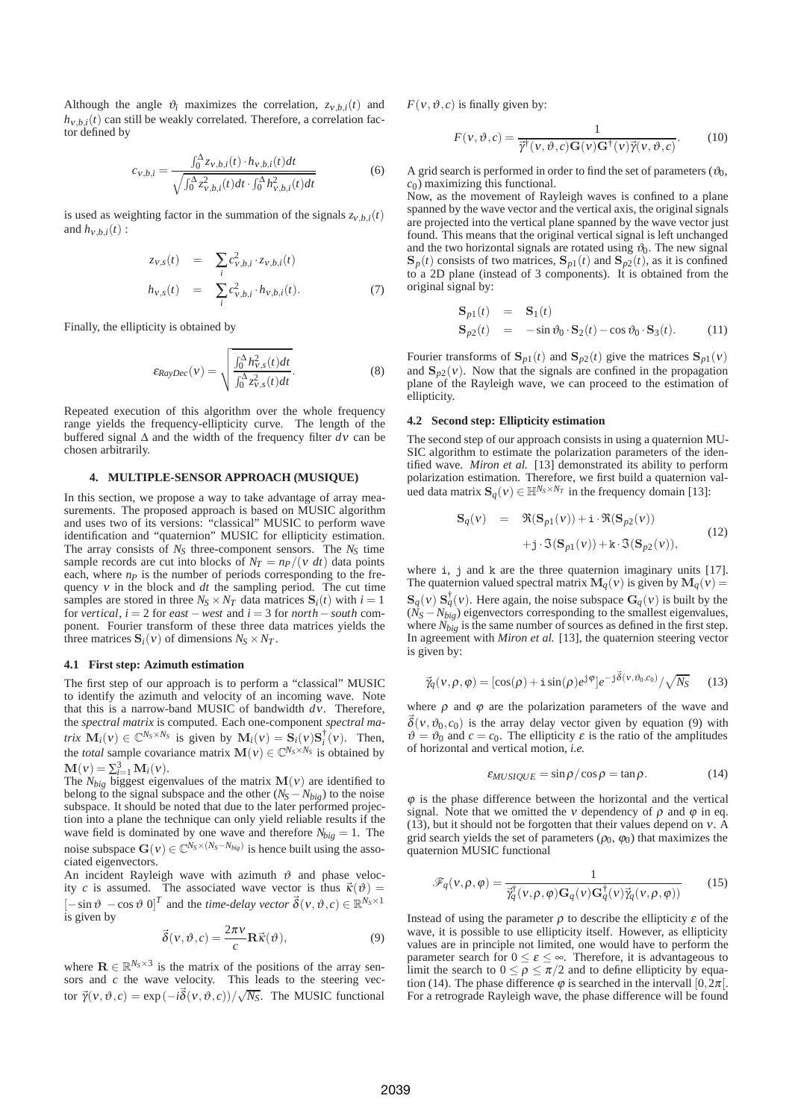Although the angle  $\vartheta_i$  maximizes the correlation,  $z_{v,b,i}(t)$  and  $h_{v,b,i}(t)$  can still be weakly correlated. Therefore, a correlation factor defined by

$$
c_{v,b,i} = \frac{\int_0^{\Delta} z_{v,b,i}(t) \cdot h_{v,b,i}(t)dt}{\sqrt{\int_0^{\Delta} z_{v,b,i}^2(t)dt} \cdot \int_0^{\Delta} h_{v,b,i}^2(t)dt}
$$
(6)

is used as weighting factor in the summation of the signals  $z_{v,b,i}(t)$ and  $h_{v, h}$ <sub>*i*</sub>(*t*) :

$$
z_{v,s}(t) = \sum_{i} c_{v,b,i}^2 \cdot z_{v,b,i}(t)
$$
  
\n
$$
h_{v,s}(t) = \sum_{i} c_{v,b,i}^2 \cdot h_{v,b,i}(t).
$$
 (7)

Finally, the ellipticity is obtained by

$$
\varepsilon_{RayDec}(v) = \sqrt{\frac{\int_0^{\Delta} h_{v,s}^2(t)dt}{\int_0^{\Delta} z_{v,s}^2(t)dt}}.
$$
\n(8)

Repeated execution of this algorithm over the whole frequency range yields the frequency-ellipticity curve. The length of the buffered signal Δ and the width of the frequency filter *d*<sup>ν</sup> can be chosen arbitrarily.

# **4. MULTIPLE-SENSOR APPROACH (MUSIQUE)**

In this section, we propose a way to take advantage of array measurements. The proposed approach is based on MUSIC algorithm and uses two of its versions: "classical" MUSIC to perform wave identification and "quaternion" MUSIC for ellipticity estimation. The array consists of  $N<sub>S</sub>$  three-component sensors. The  $N<sub>S</sub>$  time sample records are cut into blocks of  $N_T = np/(v \, dt)$  data points each, where  $n_p$  is the number of periods corresponding to the frequency <sup>ν</sup> in the block and *dt* the sampling period. The cut time samples are stored in three  $N_S \times N_T$  data matrices  $S_i(t)$  with  $i = 1$ for *vertical*,  $i = 2$  for *east* − *west* and  $i = 3$  for *north* − *south* component. Fourier transform of these three data matrices yields the three matrices  $S_i(v)$  of dimensions  $N_S \times N_T$ .

## **4.1 First step: Azimuth estimation**

The first step of our approach is to perform a "classical" MUSIC to identify the azimuth and velocity of an incoming wave. Note that this is a narrow-band MUSIC of bandwidth *d*ν. Therefore, the *spectral matrix* is computed. Each one-component *spectral matrix*  $\mathbf{M}_i(v) \in \mathbb{C}^{N_s \times N_s}$  is given by  $\mathbf{M}_i(v) = \mathbf{S}_i(v) \mathbf{S}_i^{\dagger}(v)$ . Then, the *total* sample covariance matrix  $\mathbf{M}(v) \in \mathbb{C}^{N_S \times N_S}$  is obtained by  ${\bf M}(v) = \sum_{i=1}^{3} {\bf M}_i(v).$ 

The  $N_{big}$  biggest eigenvalues of the matrix  $\mathbf{M}(v)$  are identified to belong to the signal subspace and the other  $(N_S - N_{bio})$  to the noise subspace. It should be noted that due to the later performed projection into a plane the technique can only yield reliable results if the wave field is dominated by one wave and therefore  $N_{big} = 1$ . The noise subspace  $\mathbf{G}(v) \in \mathbb{C}^{N_S \times (N_S - N_{big}}$  is hence built using the associated eigenvectors.

An incident Rayleigh wave with azimuth  $\vartheta$  and phase velocity *c* is assumed. The associated wave vector is thus  $\vec{\kappa}(\vartheta) =$  $[-\sin \vartheta - \cos \vartheta \, 0]^T$  and the *time-delay vector*  $\vec{\delta}(v, \vartheta, c) \in \mathbb{R}^{N_s \times 1}$ is given by

$$
\vec{\delta}(v,\vartheta,c) = \frac{2\pi v}{c} \mathbf{R}\vec{\kappa}(\vartheta),\tag{9}
$$

where  $\mathbf{R} \in \mathbb{R}^{N_s \times 3}$  is the matrix of the positions of the array sensors and *c* the wave velocity. This leads to the steering vector  $\vec{\gamma}(v, \vartheta, c) = \exp(-i\vec{\delta}(v, \vartheta, c))/\sqrt{N_S}$ . The MUSIC functional  $F(v, \vartheta, c)$  is finally given by:

$$
F(v, \vartheta, c) = \frac{1}{\vec{\gamma}^{\dagger}(v, \vartheta, c) \mathbf{G}(v) \mathbf{G}^{\dagger}(v) \vec{\gamma}(v, \vartheta, c)}.
$$
 (10)

A grid search is performed in order to find the set of parameters  $(\vartheta_0, \vartheta)$ *c*0) maximizing this functional.

Now, as the movement of Rayleigh waves is confined to a plane spanned by the wave vector and the vertical axis, the original signals are projected into the vertical plane spanned by the wave vector just found. This means that the original vertical signal is left unchanged and the two horizontal signals are rotated using  $\vartheta_0$ . The new signal  $\mathbf{S}_p(t)$  consists of two matrices,  $\mathbf{S}_{p1}(t)$  and  $\mathbf{S}_{p2}(t)$ , as it is confined to a 2D plane (instead of 3 components). It is obtained from the original signal by:

$$
\begin{array}{rcl}\n\mathbf{S}_{p1}(t) & = & \mathbf{S}_1(t) \\
\mathbf{S}_{p2}(t) & = & -\sin \vartheta_0 \cdot \mathbf{S}_2(t) - \cos \vartheta_0 \cdot \mathbf{S}_3(t).\n\end{array} \tag{11}
$$

Fourier transforms of  $S_{p1}(t)$  and  $S_{p2}(t)$  give the matrices  $S_{p1}(v)$ and  $\mathbf{S}_{p2}(v)$ . Now that the signals are confined in the propagation plane of the Rayleigh wave, we can proceed to the estimation of ellipticity.

## **4.2 Second step: Ellipticity estimation**

The second step of our approach consists in using a quaternion MU-SIC algorithm to estimate the polarization parameters of the identified wave. *Miron et al.* [13] demonstrated its ability to perform polarization estimation. Therefore, we first build a quaternion valued data matrix  $\mathbf{S}_q(v) \in \mathbb{H}^{N_s \times N_T}$  in the frequency domain [13]:

$$
\begin{array}{rcl} \mathbf{S}_q(v) & = & \Re(\mathbf{S}_{p1}(v)) + \mathtt{i} \cdot \Re(\mathbf{S}_{p2}(v)) \\ & & + \mathtt{j} \cdot \Im(\mathbf{S}_{p1}(v)) + \mathtt{k} \cdot \Im(\mathbf{S}_{p2}(v)), \end{array} \tag{12}
$$

where i, j and k are the three quaternion imaginary units [17]. The quaternion valued spectral matrix  $\mathbf{M}_q(v)$  is given by  $\mathbf{M}_q(v)$  =  $\mathbf{S}_q(v) \mathbf{S}_q^{\dagger}(v)$ . Here again, the noise subspace  $\mathbf{G}_q(v)$  is built by the  $(N_S - N_{big}$ ) eigenvectors corresponding to the smallest eigenvalues, where  $N_{big}$  is the same number of sources as defined in the first step. In agreement with *Miron et al.* [13], the quaternion steering vector is given by:

$$
\vec{\gamma}_q(\mathbf{v}, \rho, \varphi) = [\cos(\rho) + i \sin(\rho) e^{j\varphi}] e^{-j\vec{\delta}(\mathbf{v}, \vartheta_0, c_0)} / \sqrt{N_S} \tag{13}
$$

where  $\rho$  and  $\varphi$  are the polarization parameters of the wave and  $\vec{\delta}(v, \vartheta_0, c_0)$  is the array delay vector given by equation (9) with  $\vartheta = \vartheta_0$  and  $c = c_0$ . The ellipticity  $\varepsilon$  is the ratio of the amplitudes of horizontal and vertical motion, *i.e.*

$$
\varepsilon_{MUSIQUE} = \sin \rho / \cos \rho = \tan \rho. \tag{14}
$$

 $\varphi$  is the phase difference between the horizontal and the vertical signal. Note that we omitted the v dependency of  $\rho$  and  $\varphi$  in eq. (13), but it should not be forgotten that their values depend on <sup>ν</sup>. A grid search yields the set of parameters  $(\rho_0, \varphi_0)$  that maximizes the quaternion MUSIC functional

$$
\mathscr{F}_q(\nu,\rho,\varphi) = \frac{1}{\vec{\gamma}_q^{\dagger}(\nu,\rho,\varphi)\mathbf{G}_q(\nu)\mathbf{G}_q^{\dagger}(\nu)\vec{\gamma}_q(\nu,\rho,\varphi))}
$$
(15)

Instead of using the parameter  $\rho$  to describe the ellipticity  $\varepsilon$  of the wave, it is possible to use ellipticity itself. However, as ellipticity values are in principle not limited, one would have to perform the parameter search for  $0 \le \varepsilon \le \infty$ . Therefore, it is advantageous to limit the search to  $0 \le \rho \le \pi/2$  and to define ellipticity by equation (14). The phase difference  $\varphi$  is searched in the intervall [0,  $2\pi$ ]. For a retrograde Rayleigh wave, the phase difference will be found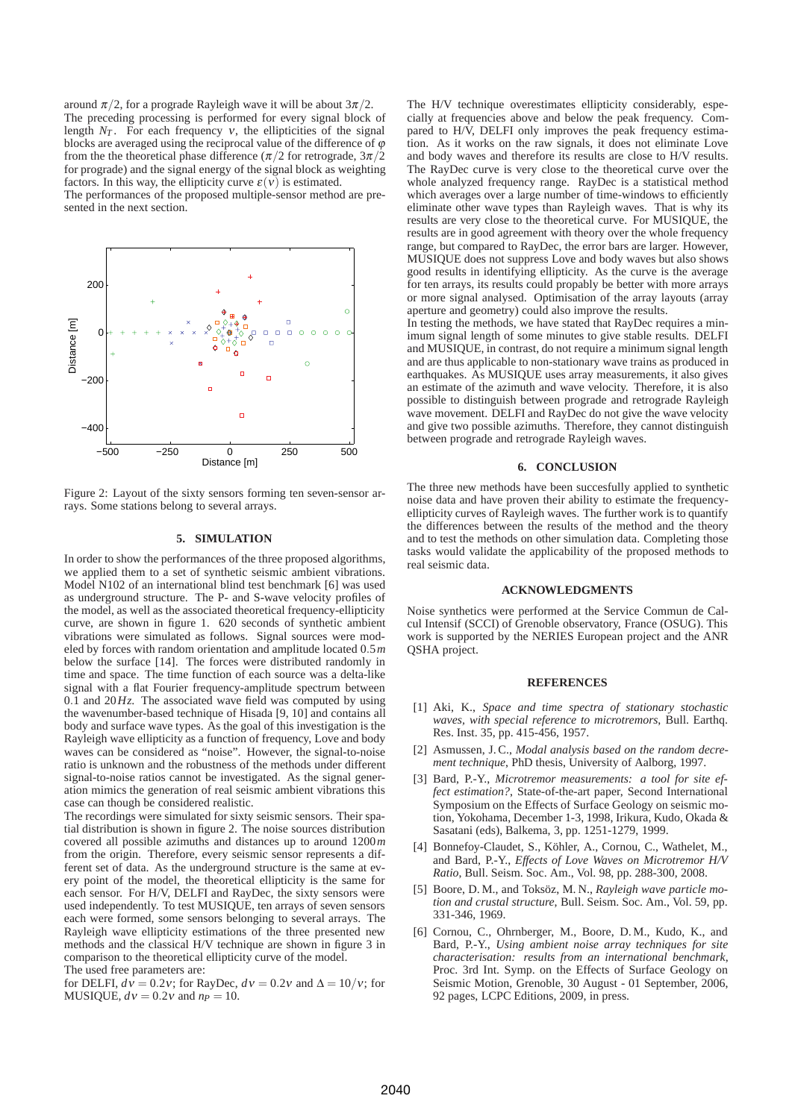around  $\pi/2$ , for a prograde Rayleigh wave it will be about  $3\pi/2$ . The preceding processing is performed for every signal block of length  $N_T$ . For each frequency v, the ellipticities of the signal blocks are averaged using the reciprocal value of the difference of  $\varphi$ from the the theoretical phase difference ( $\pi/2$  for retrograde,  $3\pi/2$ for prograde) and the signal energy of the signal block as weighting factors. In this way, the ellipticity curve  $\varepsilon(v)$  is estimated.

The performances of the proposed multiple-sensor method are presented in the next section.



Figure 2: Layout of the sixty sensors forming ten seven-sensor arrays. Some stations belong to several arrays.

## **5. SIMULATION**

In order to show the performances of the three proposed algorithms, we applied them to a set of synthetic seismic ambient vibrations. Model N102 of an international blind test benchmark [6] was used as underground structure. The P- and S-wave velocity profiles of the model, as well as the associated theoretical frequency-ellipticity curve, are shown in figure 1. 620 seconds of synthetic ambient vibrations were simulated as follows. Signal sources were modeled by forces with random orientation and amplitude located 0.5*m* below the surface [14]. The forces were distributed randomly in time and space. The time function of each source was a delta-like signal with a flat Fourier frequency-amplitude spectrum between 0.1 and 20*Hz*. The associated wave field was computed by using the wavenumber-based technique of Hisada [9, 10] and contains all body and surface wave types. As the goal of this investigation is the Rayleigh wave ellipticity as a function of frequency, Love and body waves can be considered as "noise". However, the signal-to-noise ratio is unknown and the robustness of the methods under different signal-to-noise ratios cannot be investigated. As the signal generation mimics the generation of real seismic ambient vibrations this case can though be considered realistic.

The recordings were simulated for sixty seismic sensors. Their spatial distribution is shown in figure 2. The noise sources distribution covered all possible azimuths and distances up to around 1200*m* from the origin. Therefore, every seismic sensor represents a different set of data. As the underground structure is the same at every point of the model, the theoretical ellipticity is the same for each sensor. For H/V, DELFI and RayDec, the sixty sensors were used independently. To test MUSIQUE, ten arrays of seven sensors each were formed, some sensors belonging to several arrays. The Rayleigh wave ellipticity estimations of the three presented new methods and the classical H/V technique are shown in figure 3 in comparison to the theoretical ellipticity curve of the model. The used free parameters are:

for DELFI,  $dv = 0.2v$ ; for RayDec,  $dv = 0.2v$  and  $\Delta = 10/v$ ; for MUSIQUE,  $dv = 0.2v$  and  $np = 10$ .

The H/V technique overestimates ellipticity considerably, especially at frequencies above and below the peak frequency. Compared to H/V, DELFI only improves the peak frequency estimation. As it works on the raw signals, it does not eliminate Love and body waves and therefore its results are close to H/V results. The RayDec curve is very close to the theoretical curve over the whole analyzed frequency range. RayDec is a statistical method which averages over a large number of time-windows to efficiently eliminate other wave types than Rayleigh waves. That is why its results are very close to the theoretical curve. For MUSIQUE, the results are in good agreement with theory over the whole frequency range, but compared to RayDec, the error bars are larger. However, MUSIQUE does not suppress Love and body waves but also shows good results in identifying ellipticity. As the curve is the average for ten arrays, its results could propably be better with more arrays or more signal analysed. Optimisation of the array layouts (array aperture and geometry) could also improve the results.

In testing the methods, we have stated that RayDec requires a minimum signal length of some minutes to give stable results. DELFI and MUSIQUE, in contrast, do not require a minimum signal length and are thus applicable to non-stationary wave trains as produced in earthquakes. As MUSIQUE uses array measurements, it also gives an estimate of the azimuth and wave velocity. Therefore, it is also possible to distinguish between prograde and retrograde Rayleigh wave movement. DELFI and RayDec do not give the wave velocity and give two possible azimuths. Therefore, they cannot distinguish between prograde and retrograde Rayleigh waves.

### **6. CONCLUSION**

The three new methods have been succesfully applied to synthetic noise data and have proven their ability to estimate the frequencyellipticity curves of Rayleigh waves. The further work is to quantify the differences between the results of the method and the theory and to test the methods on other simulation data. Completing those tasks would validate the applicability of the proposed methods to real seismic data.

### **ACKNOWLEDGMENTS**

Noise synthetics were performed at the Service Commun de Calcul Intensif (SCCI) of Grenoble observatory, France (OSUG). This work is supported by the NERIES European project and the ANR QSHA project.

#### **REFERENCES**

- [1] Aki, K., *Space and time spectra of stationary stochastic waves, with special reference to microtremors*, Bull. Earthq. Res. Inst. 35, pp. 415-456, 1957.
- [2] Asmussen, J. C., *Modal analysis based on the random decrement technique*, PhD thesis, University of Aalborg, 1997.
- [3] Bard, P.-Y., *Microtremor measurements: a tool for site effect estimation?*, State-of-the-art paper, Second International Symposium on the Effects of Surface Geology on seismic motion, Yokohama, December 1-3, 1998, Irikura, Kudo, Okada & Sasatani (eds), Balkema, 3, pp. 1251-1279, 1999.
- [4] Bonnefoy-Claudet, S., Köhler, A., Cornou, C., Wathelet, M., and Bard, P.-Y., *Effects of Love Waves on Microtremor H/V Ratio*, Bull. Seism. Soc. Am., Vol. 98, pp. 288-300, 2008.
- [5] Boore, D.M., and Toksöz, M.N., *Rayleigh wave particle motion and crustal structure*, Bull. Seism. Soc. Am., Vol. 59, pp. 331-346, 1969.
- [6] Cornou, C., Ohrnberger, M., Boore, D. M., Kudo, K., and Bard, P.-Y., *Using ambient noise array techniques for site characterisation: results from an international benchmark*, Proc. 3rd Int. Symp. on the Effects of Surface Geology on Seismic Motion, Grenoble, 30 August - 01 September, 2006, 92 pages, LCPC Editions, 2009, in press.